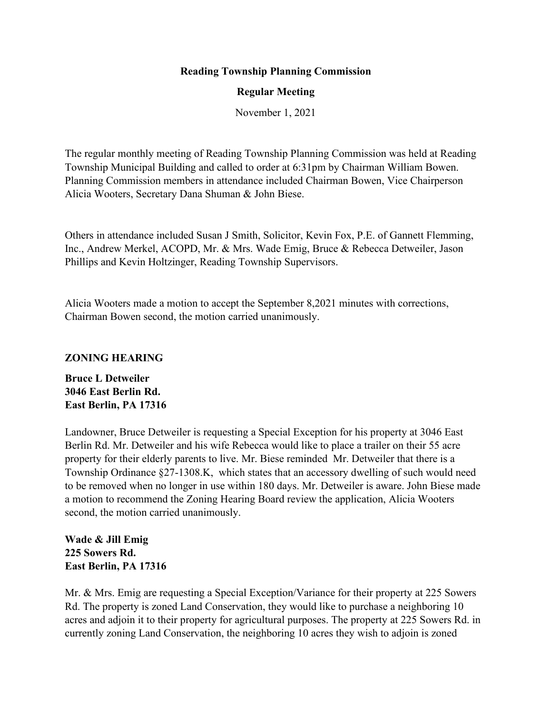## **Reading Township Planning Commission**

## **Regular Meeting**

November 1, 2021

The regular monthly meeting of Reading Township Planning Commission was held at Reading Township Municipal Building and called to order at 6:31pm by Chairman William Bowen. Planning Commission members in attendance included Chairman Bowen, Vice Chairperson Alicia Wooters, Secretary Dana Shuman & John Biese.

Others in attendance included Susan J Smith, Solicitor, Kevin Fox, P.E. of Gannett Flemming, Inc., Andrew Merkel, ACOPD, Mr. & Mrs. Wade Emig, Bruce & Rebecca Detweiler, Jason Phillips and Kevin Holtzinger, Reading Township Supervisors.

Alicia Wooters made a motion to accept the September 8,2021 minutes with corrections, Chairman Bowen second, the motion carried unanimously.

### **ZONING HEARING**

**Bruce L Detweiler 3046 East Berlin Rd. East Berlin, PA 17316**

Landowner, Bruce Detweiler is requesting a Special Exception for his property at 3046 East Berlin Rd. Mr. Detweiler and his wife Rebecca would like to place a trailer on their 55 acre property for their elderly parents to live. Mr. Biese reminded Mr. Detweiler that there is a Township Ordinance §27-1308.K, which states that an accessory dwelling of such would need to be removed when no longer in use within 180 days. Mr. Detweiler is aware. John Biese made a motion to recommend the Zoning Hearing Board review the application, Alicia Wooters second, the motion carried unanimously.

**Wade & Jill Emig 225 Sowers Rd. East Berlin, PA 17316**

Mr. & Mrs. Emig are requesting a Special Exception/Variance for their property at 225 Sowers Rd. The property is zoned Land Conservation, they would like to purchase a neighboring 10 acres and adjoin it to their property for agricultural purposes. The property at 225 Sowers Rd. in currently zoning Land Conservation, the neighboring 10 acres they wish to adjoin is zoned